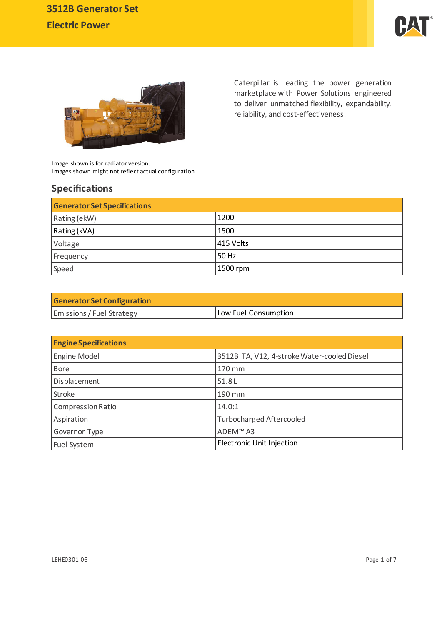



Caterpillar is leading the power generation marketplace with Power Solutions engineered to deliver unmatched flexibility, expandability, reliability, and cost-effectiveness.

Image shown is for radiator version. Images shown might not reflect actual configuration

# **Specifications**

| <b>Generator Set Specifications</b> |           |  |  |
|-------------------------------------|-----------|--|--|
| Rating (ekW)                        | 1200      |  |  |
| Rating (kVA)                        | 1500      |  |  |
| Voltage                             | 415 Volts |  |  |
| Frequency                           | 50 Hz     |  |  |
| Speed                               | 1500 rpm  |  |  |

| <b>Generator Set Configuration</b> |                      |  |  |
|------------------------------------|----------------------|--|--|
| <b>Emissions / Fuel Strategy</b>   | Low Fuel Consumption |  |  |

| <b>Engine Specifications</b> |                                             |
|------------------------------|---------------------------------------------|
| <b>Engine Model</b>          | 3512B TA, V12, 4-stroke Water-cooled Diesel |
| <b>Bore</b>                  | 170 mm                                      |
| Displacement                 | 51.8L                                       |
| Stroke                       | 190 mm                                      |
| <b>Compression Ratio</b>     | 14.0:1                                      |
| Aspiration                   | <b>Turbocharged Aftercooled</b>             |
| Governor Type                | ADEM <sup>™</sup> A3                        |
| Fuel System                  | <b>Electronic Unit Injection</b>            |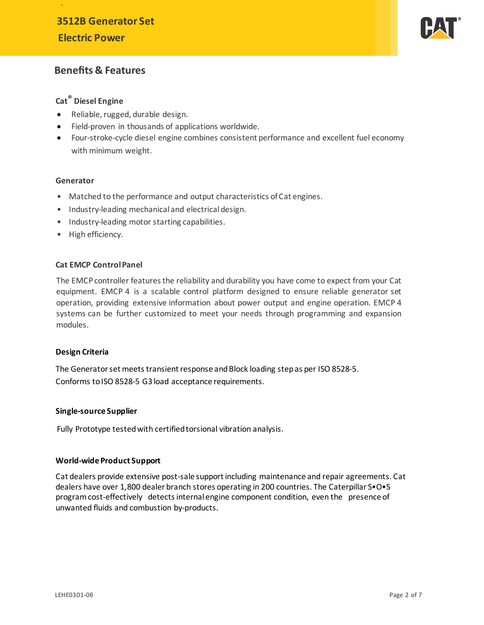

# **Benefits & Features**

# **Cat® Diesel Engine**

and the contract of the contract of the contract of the contract of the contract of the contract of the contra<br>The contract of the contract of the contract of the contract of the contract of the contract of the contract o

- Reliable, rugged, durable design.
- Field-proven in thousands of applications worldwide.
- Four-stroke-cycle diesel engine combines consistent performance and excellent fuel economy with minimum weight.

# **Generator**

- Matched to the performance and output characteristics of Cat engines.
- Industry-leading mechanical and electrical design.
- Industry-leading motor starting capabilities.
- High efficiency.

# **Cat EMCP ControlPanel**

The EMCP controller features the reliability and durability you have come to expect from your Cat equipment. EMCP 4 is a scalable control platform designed to ensure reliable generator set operation, providing extensive information about power output and engine operation. EMCP 4 systems can be further customized to meet your needs through programming and expansion modules.

## **Design Criteria**

The Generator set meets transient response and Block loading step as per ISO 8528-5. Conforms to ISO 8528-5 G3 load acceptance requirements.

## **Single-source Supplier**

Fully Prototype tested with certified torsional vibration analysis.

## **World-wide Product Support**

Cat dealers provide extensive post-sale support including maintenance and repair agreements. Cat dealers have over 1,800 dealer branch stores operating in 200 countries. The Caterpillar S•O•S programcost-effectively detects internal engine component condition, even the presence of unwanted fluids and combustion by-products.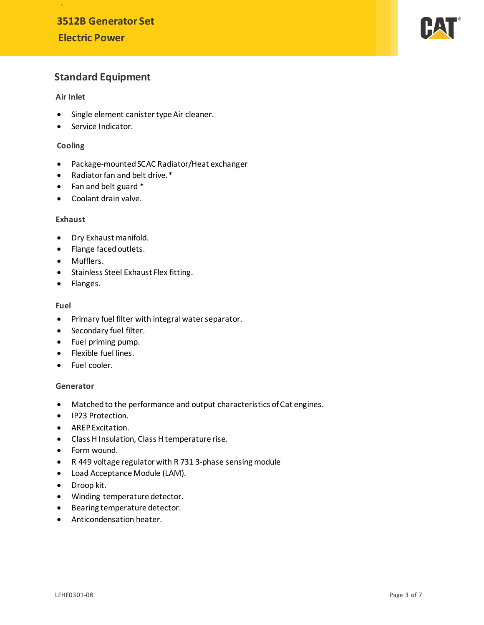

# **Standard Equipment**

# **Air Inlet**

and the contract of the contract of the contract of the contract of the contract of the contract of the contra<br>The contract of the contract of the contract of the contract of the contract of the contract of the contract o

- Single element canister type Air cleaner.
- Service Indicator.

# **Cooling**

- Package-mounted SCAC Radiator/Heat exchanger
- Radiator fan and belt drive.\*
- Fan and belt guard \*
- Coolant drain valve.

## **Exhaust**

- Dry Exhaust manifold.
- Flange faced outlets.
- Mufflers.
- Stainless Steel Exhaust Flex fitting.
- Flanges.

## **Fuel**

- Primary fuel filter with integral water separator.
- Secondary fuel filter.
- Fuel priming pump.
- Flexible fuel lines.
- Fuel cooler.

# **Generator**

- Matched to the performance and output characteristics of Cat engines.
- IP23 Protection.
- AREP Excitation.
- Class H Insulation, Class H temperature rise.
- Form wound.
- R 449 voltage regulator with R 731 3-phase sensing module
- Load Acceptance Module (LAM).
- Droop kit.
- Winding temperature detector.
- Bearing temperature detector.
- Anticondensation heater.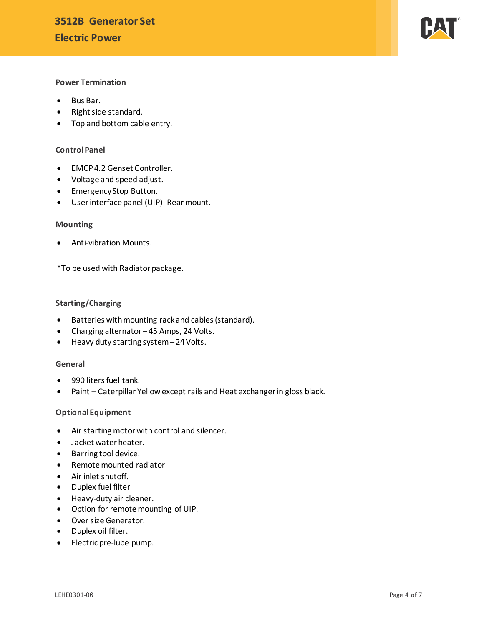

# **Power Termination**

- Bus Bar.
- Right side standard.
- Top and bottom cable entry.

#### **Control Panel**

- EMCP 4.2 Genset Controller.
- Voltage and speed adjust.
- Emergency Stop Button.
- User interface panel (UIP) -Rear mount.

#### **Mounting**

• Anti-vibration Mounts.

\*To be used with Radiator package.

#### **Starting/Charging**

- Batteries with mounting rack and cables (standard).
- Charging alternator 45 Amps, 24 Volts.
- Heavy duty starting system 24 Volts.

## **General**

- 990 liters fuel tank.
- Paint Caterpillar Yellow except rails and Heat exchangerin gloss black.

## **Optional Equipment**

- Air starting motor with control and silencer.
- Jacket water heater.
- Barring tool device.
- Remote mounted radiator
- Air inlet shutoff.
- Duplex fuel filter
- Heavy-duty air cleaner.
- Option for remote mounting of UIP.
- Over size Generator.
- Duplex oil filter.
- Electric pre-lube pump.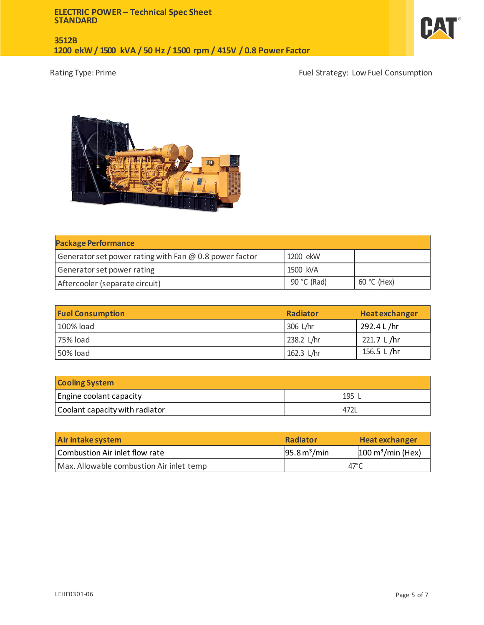

Rating Type: Prime Fuel Strategy: Low Fuel Consumption



| <b>Package Performance</b>                             |             |             |  |
|--------------------------------------------------------|-------------|-------------|--|
| Generator set power rating with Fan @ 0.8 power factor | 1200 ekW    |             |  |
| Generator set power rating                             | 1500 kVA    |             |  |
| Aftercooler (separate circuit)                         | 90 °C (Rad) | 60 °C (Hex) |  |
|                                                        |             |             |  |

| <b>Fuel Consumption</b> | <b>Radiator</b> | <b>Heat exchanger</b> |
|-------------------------|-----------------|-----------------------|
| 100% load               | 306 L/hr        | 292.4 L /hr           |
| 75% load                | 238.2 L/hr      | 221.7 L /hr           |
| 50% load                | 162.3 L/hr      | 156.5 L/hr            |

| <b>Cooling System</b>          |      |  |  |
|--------------------------------|------|--|--|
| Engine coolant capacity        | 195  |  |  |
| Coolant capacity with radiator | 4721 |  |  |

| Air intake system                        | <b>Radiator</b>          | <b>Heat exchanger</b>              |
|------------------------------------------|--------------------------|------------------------------------|
| Combustion Air inlet flow rate           | 95.8 m <sup>3</sup> /min | $100 \text{ m}^3/\text{min}$ (Hex) |
| Max. Allowable combustion Air inlet temp | 47°C                     |                                    |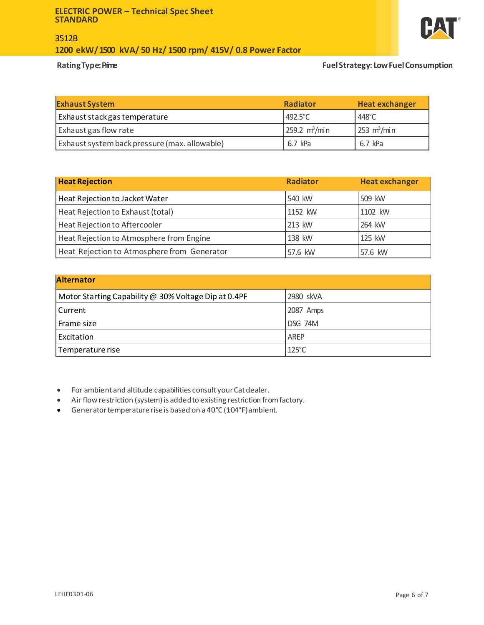# 3512B

# **1200 ekW/1500 kVA/ 50 Hz/ 1500 rpm/ 415V/ 0.8 Power Factor**



**RatingType:Prime FuelStrategy: LowFuelConsumption**

| <b>Exhaust System</b>                         | <b>Radiator</b>           | <b>Heat exchanger</b>        |
|-----------------------------------------------|---------------------------|------------------------------|
| Exhaust stack gas temperature                 | $1492.5^{\circ}$ C        | 448°C                        |
| <b>Exhaust gas flow rate</b>                  | 259.2 m <sup>3</sup> /min | $253 \text{ m}^3/\text{min}$ |
| Exhaust system back pressure (max. allowable) | $6.7$ kPa                 | 6.7 kPa                      |

| <b>Heat Rejection</b>                       | <b>Radiator</b> | <b>Heat exchanger</b> |
|---------------------------------------------|-----------------|-----------------------|
| Heat Rejection to Jacket Water              | 540 kW          | 509 kW                |
| Heat Rejection to Exhaust (total)           | 1152 kW         | 1102 kW               |
| Heat Rejection to Aftercooler               | 213 kW          | 264 kW                |
| Heat Rejection to Atmosphere from Engine    | 138 kW          | 125 kW                |
| Heat Rejection to Atmosphere from Generator | 57.6 kW         | 57.6 kW               |

| <b>Alternator</b>                                    |                 |
|------------------------------------------------------|-----------------|
| Motor Starting Capability @ 30% Voltage Dip at 0.4PF | 2980 skVA       |
| l Current                                            | 2087 Amps       |
| Frame size                                           | DSG 74M         |
| Excitation                                           | AREP            |
| Temperature rise                                     | $125^{\circ}$ C |

- For ambient and altitude capabilities consult your Cat dealer.
- Air flow restriction (system) is added to existing restriction from factory.
- Generator temperature rise is based on a 40°C (104°F) ambient.